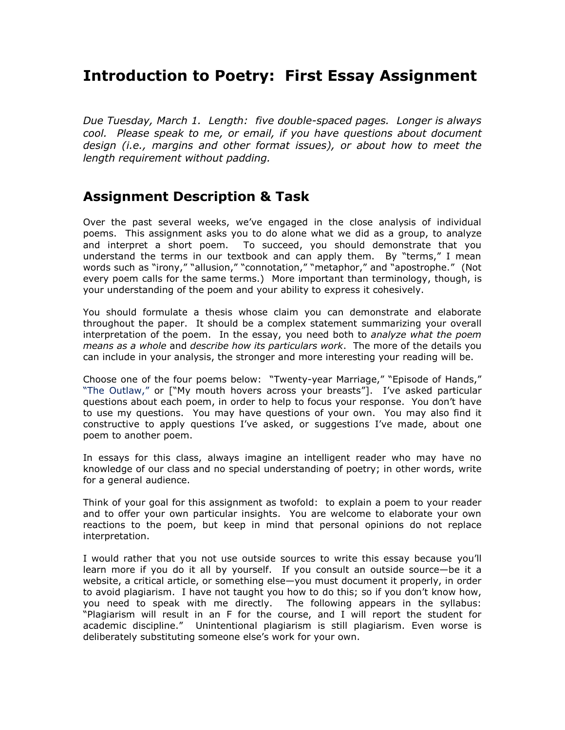# **Introduction to Poetry: First Essay Assignment**

*Due Tuesday, March 1. Length: five double-spaced pages. Longer is always cool. Please speak to me, or email, if you have questions about document design (i.e., margins and other format issues), or about how to meet the length requirement without padding.*

## **Assignment Description & Task**

Over the past several weeks, we've engaged in the close analysis of individual poems. This assignment asks you to do alone what we did as a group, to analyze and interpret a short poem. To succeed, you should demonstrate that you understand the terms in our textbook and can apply them. By "terms," I mean words such as "irony," "allusion," "connotation," "metaphor," and "apostrophe." (Not every poem calls for the same terms.) More important than terminology, though, is your understanding of the poem and your ability to express it cohesively.

You should formulate a thesis whose claim you can demonstrate and elaborate throughout the paper. It should be a complex statement summarizing your overall interpretation of the poem. In the essay, you need both to *analyze what the poem means as a whole* and *describe how its particulars work*. The more of the details you can include in your analysis, the stronger and more interesting your reading will be.

Choose one of the four poems below: "Twenty-year Marriage," "Episode of Hands," "The Outlaw," or ["My mouth hovers across your breasts"]. I"ve asked particular questions about each poem, in order to help to focus your response. You don"t have to use my questions. You may have questions of your own. You may also find it constructive to apply questions I"ve asked, or suggestions I"ve made, about one poem to another poem.

In essays for this class, always imagine an intelligent reader who may have no knowledge of our class and no special understanding of poetry; in other words, write for a general audience.

Think of your goal for this assignment as twofold: to explain a poem to your reader and to offer your own particular insights. You are welcome to elaborate your own reactions to the poem, but keep in mind that personal opinions do not replace interpretation.

I would rather that you not use outside sources to write this essay because you"ll learn more if you do it all by yourself. If you consult an outside source—be it a website, a critical article, or something else—you must document it properly, in order to avoid plagiarism. I have not taught you how to do this; so if you don"t know how, you need to speak with me directly. The following appears in the syllabus: "Plagiarism will result in an F for the course, and I will report the student for academic discipline." Unintentional plagiarism is still plagiarism. Even worse is deliberately substituting someone else's work for your own.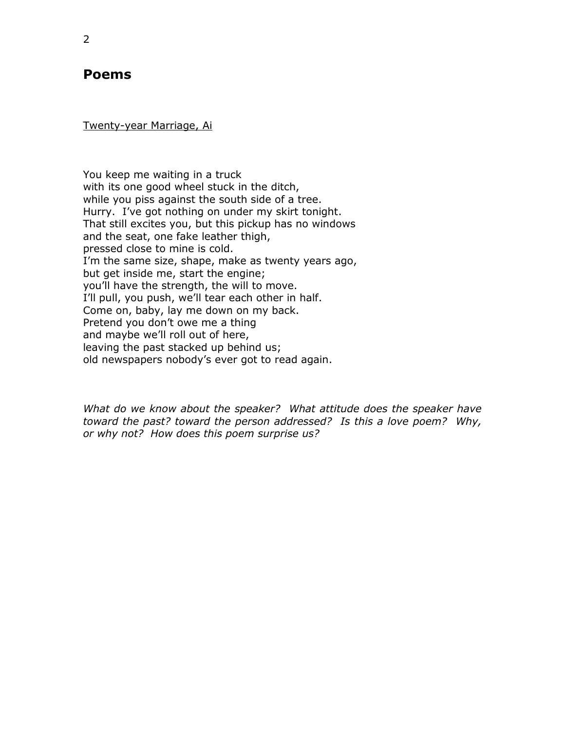### **Poems**

Twenty-year Marriage, Ai

You keep me waiting in a truck with its one good wheel stuck in the ditch, while you piss against the south side of a tree. Hurry. I've got nothing on under my skirt tonight. That still excites you, but this pickup has no windows and the seat, one fake leather thigh, pressed close to mine is cold. I'm the same size, shape, make as twenty years ago, but get inside me, start the engine; you"ll have the strength, the will to move. I'll pull, you push, we'll tear each other in half. Come on, baby, lay me down on my back. Pretend you don't owe me a thing and maybe we"ll roll out of here, leaving the past stacked up behind us; old newspapers nobody"s ever got to read again.

*What do we know about the speaker? What attitude does the speaker have toward the past? toward the person addressed? Is this a love poem? Why, or why not? How does this poem surprise us?*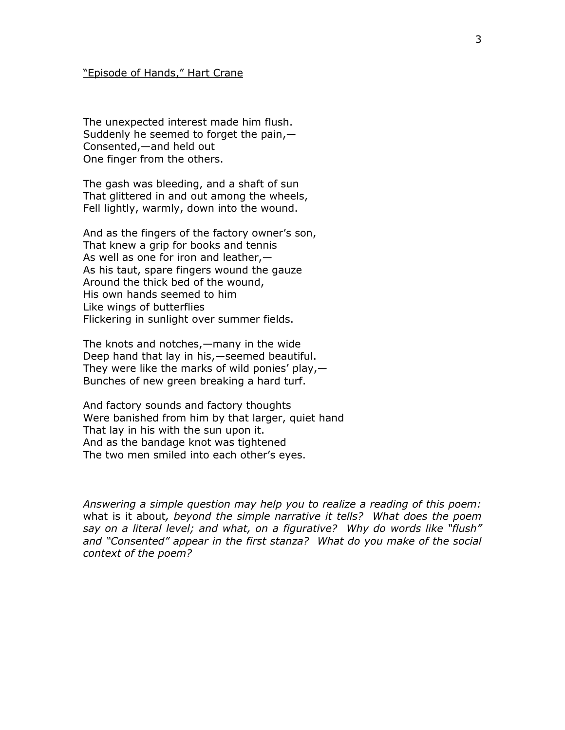#### "Episode of Hands," Hart Crane

The unexpected interest made him flush. Suddenly he seemed to forget the pain, $-$ Consented,—and held out One finger from the others.

The gash was bleeding, and a shaft of sun That glittered in and out among the wheels, Fell lightly, warmly, down into the wound.

And as the fingers of the factory owner's son, That knew a grip for books and tennis As well as one for iron and leather,— As his taut, spare fingers wound the gauze Around the thick bed of the wound, His own hands seemed to him Like wings of butterflies Flickering in sunlight over summer fields.

The knots and notches,—many in the wide Deep hand that lay in his,—seemed beautiful. They were like the marks of wild ponies' play, $-$ Bunches of new green breaking a hard turf.

And factory sounds and factory thoughts Were banished from him by that larger, quiet hand That lay in his with the sun upon it. And as the bandage knot was tightened The two men smiled into each other"s eyes.

*Answering a simple question may help you to realize a reading of this poem:*  what is it about*, beyond the simple narrative it tells? What does the poem say on a literal level; and what, on a figurative? Why do words like "flush" and "Consented" appear in the first stanza? What do you make of the social context of the poem?*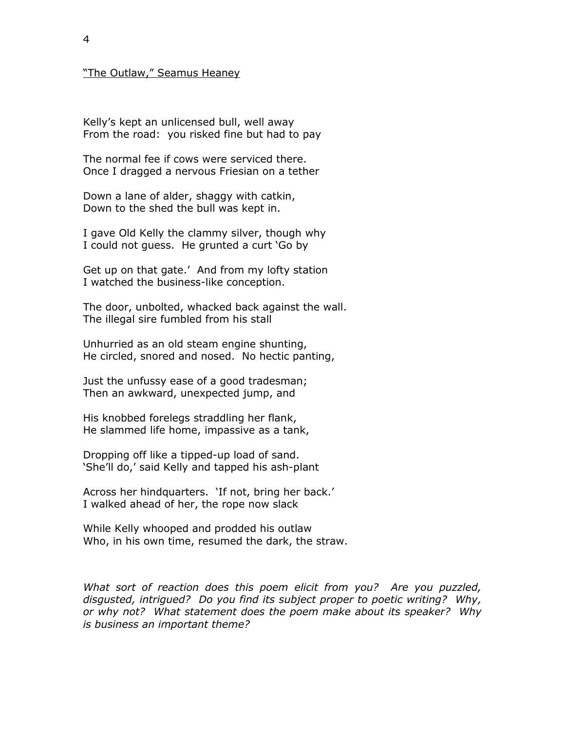#### "The Outlaw," Seamus Heaney

Kelly"s kept an unlicensed bull, well away From the road: you risked fine but had to pay

The normal fee if cows were serviced there. Once I dragged a nervous Friesian on a tether

Down a lane of alder, shaggy with catkin, Down to the shed the bull was kept in.

I gave Old Kelly the clammy silver, though why I could not guess. He grunted a curt "Go by

Get up on that gate.' And from my lofty station I watched the business-like conception.

The door, unbolted, whacked back against the wall. The illegal sire fumbled from his stall

Unhurried as an old steam engine shunting, He circled, snored and nosed. No hectic panting,

Just the unfussy ease of a good tradesman; Then an awkward, unexpected jump, and

His knobbed forelegs straddling her flank, He slammed life home, impassive as a tank,

Dropping off like a tipped-up load of sand. 'She'll do,' said Kelly and tapped his ash-plant

Across her hindquarters. "If not, bring her back." I walked ahead of her, the rope now slack

While Kelly whooped and prodded his outlaw Who, in his own time, resumed the dark, the straw.

*What sort of reaction does this poem elicit from you? Are you puzzled, disgusted, intrigued? Do you find its subject proper to poetic writing? Why, or why not? What statement does the poem make about its speaker? Why is business an important theme?*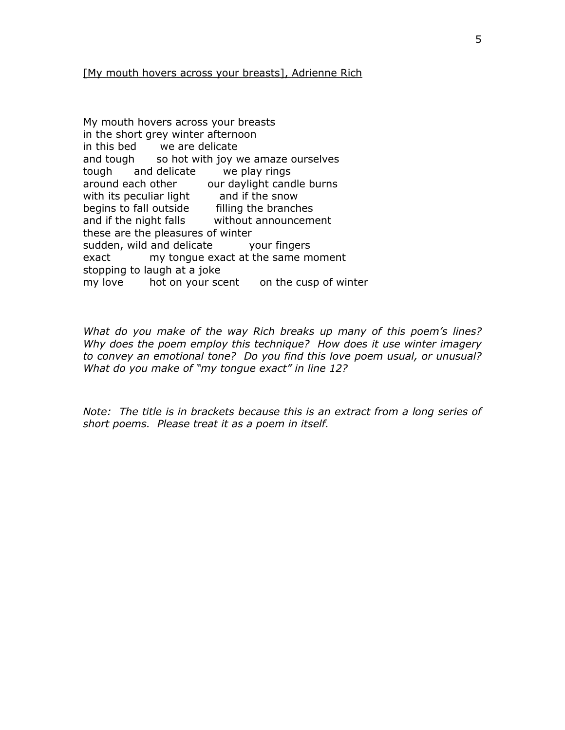#### [My mouth hovers across your breasts], Adrienne Rich

My mouth hovers across your breasts in the short grey winter afternoon in this bed we are delicate and tough so hot with joy we amaze ourselves tough and delicate we play rings around each other our daylight candle burns with its peculiar light and if the snow begins to fall outside filling the branches and if the night falls without announcement these are the pleasures of winter sudden, wild and delicate your fingers exact my tongue exact at the same moment stopping to laugh at a joke my love hot on your scent on the cusp of winter

*What do you make of the way Rich breaks up many of this poem's lines? Why does the poem employ this technique? How does it use winter imagery to convey an emotional tone? Do you find this love poem usual, or unusual? What do you make of "my tongue exact" in line 12?*

*Note: The title is in brackets because this is an extract from a long series of short poems. Please treat it as a poem in itself.*